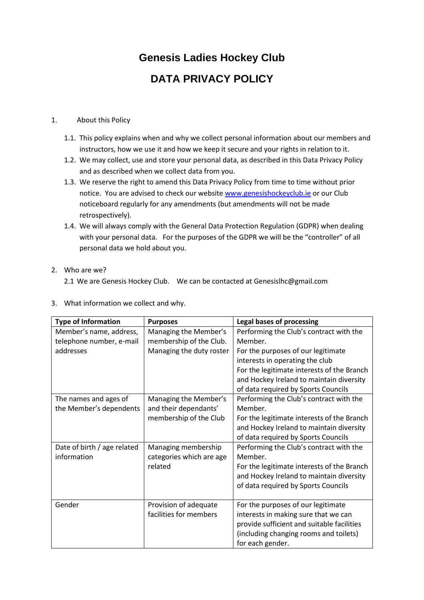# **Genesis Ladies Hockey Club DATA PRIVACY POLICY**

#### 1. About this Policy

- 1.1. This policy explains when and why we collect personal information about our members and instructors, how we use it and how we keep it secure and your rights in relation to it.
- 1.2. We may collect, use and store your personal data, as described in this Data Privacy Policy and as described when we collect data from you.
- 1.3. We reserve the right to amend this Data Privacy Policy from time to time without prior notice. You are advised to check our website [www.genesishockeyclub.ie](http://www.genesishockeyclub.ie/) or our Club noticeboard regularly for any amendments (but amendments will not be made retrospectively).
- 1.4. We will always comply with the General Data Protection Regulation (GDPR) when dealing with your personal data. For the purposes of the GDPR we will be the "controller" of all personal data we hold about you.

### 2. Who are we?

2.1 We are Genesis Hockey Club. We can be contacted at Genesislhc@gmail.com

| <b>Type of Information</b>  | <b>Purposes</b>          | <b>Legal bases of processing</b>           |
|-----------------------------|--------------------------|--------------------------------------------|
| Member's name, address,     | Managing the Member's    | Performing the Club's contract with the    |
| telephone number, e-mail    | membership of the Club.  | Member.                                    |
| addresses                   | Managing the duty roster | For the purposes of our legitimate         |
|                             |                          | interests in operating the club            |
|                             |                          | For the legitimate interests of the Branch |
|                             |                          | and Hockey Ireland to maintain diversity   |
|                             |                          | of data required by Sports Councils        |
| The names and ages of       | Managing the Member's    | Performing the Club's contract with the    |
| the Member's dependents     | and their dependants'    | Member.                                    |
|                             | membership of the Club   | For the legitimate interests of the Branch |
|                             |                          | and Hockey Ireland to maintain diversity   |
|                             |                          | of data required by Sports Councils        |
| Date of birth / age related | Managing membership      | Performing the Club's contract with the    |
| information                 | categories which are age | Member.                                    |
|                             | related                  | For the legitimate interests of the Branch |
|                             |                          | and Hockey Ireland to maintain diversity   |
|                             |                          | of data required by Sports Councils        |
|                             |                          |                                            |
| Gender                      | Provision of adequate    | For the purposes of our legitimate         |
|                             | facilities for members   | interests in making sure that we can       |
|                             |                          | provide sufficient and suitable facilities |
|                             |                          | (including changing rooms and toilets)     |
|                             |                          | for each gender.                           |

#### 3. What information we collect and why.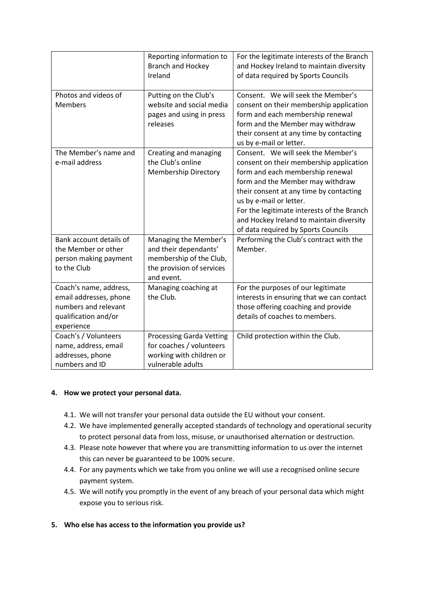|                                                                                                                | Reporting information to<br><b>Branch and Hockey</b><br>Ireland                                                      | For the legitimate interests of the Branch<br>and Hockey Ireland to maintain diversity<br>of data required by Sports Councils                                                                                                                                                                                                                                |
|----------------------------------------------------------------------------------------------------------------|----------------------------------------------------------------------------------------------------------------------|--------------------------------------------------------------------------------------------------------------------------------------------------------------------------------------------------------------------------------------------------------------------------------------------------------------------------------------------------------------|
| Photos and videos of<br><b>Members</b>                                                                         | Putting on the Club's<br>website and social media<br>pages and using in press<br>releases                            | Consent. We will seek the Member's<br>consent on their membership application<br>form and each membership renewal<br>form and the Member may withdraw<br>their consent at any time by contacting<br>us by e-mail or letter.                                                                                                                                  |
| The Member's name and<br>e-mail address                                                                        | Creating and managing<br>the Club's online<br><b>Membership Directory</b>                                            | Consent. We will seek the Member's<br>consent on their membership application<br>form and each membership renewal<br>form and the Member may withdraw<br>their consent at any time by contacting<br>us by e-mail or letter.<br>For the legitimate interests of the Branch<br>and Hockey Ireland to maintain diversity<br>of data required by Sports Councils |
| Bank account details of<br>the Member or other<br>person making payment<br>to the Club                         | Managing the Member's<br>and their dependants'<br>membership of the Club,<br>the provision of services<br>and event. | Performing the Club's contract with the<br>Member.                                                                                                                                                                                                                                                                                                           |
| Coach's name, address,<br>email addresses, phone<br>numbers and relevant<br>qualification and/or<br>experience | Managing coaching at<br>the Club.                                                                                    | For the purposes of our legitimate<br>interests in ensuring that we can contact<br>those offering coaching and provide<br>details of coaches to members.                                                                                                                                                                                                     |
| Coach's / Volunteers<br>name, address, email<br>addresses, phone<br>numbers and ID                             | <b>Processing Garda Vetting</b><br>for coaches / volunteers<br>working with children or<br>vulnerable adults         | Child protection within the Club.                                                                                                                                                                                                                                                                                                                            |

### **4. How we protect your personal data.**

- 4.1. We will not transfer your personal data outside the EU without your consent.
- 4.2. We have implemented generally accepted standards of technology and operational security to protect personal data from loss, misuse, or unauthorised alternation or destruction.
- 4.3. Please note however that where you are transmitting information to us over the internet this can never be guaranteed to be 100% secure.
- 4.4. For any payments which we take from you online we will use a recognised online secure payment system.
- 4.5. We will notify you promptly in the event of any breach of your personal data which might expose you to serious risk.
- **5. Who else has access to the information you provide us?**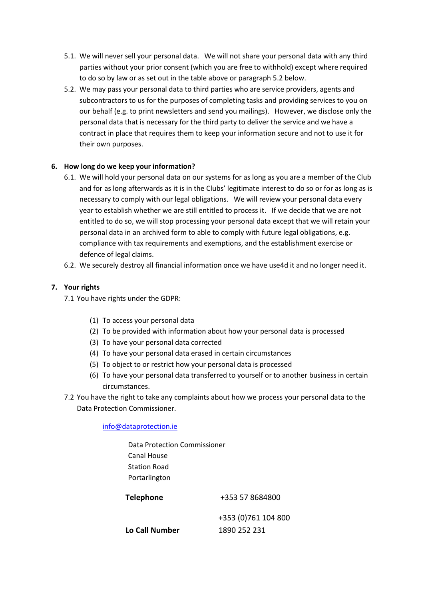- 5.1. We will never sell your personal data. We will not share your personal data with any third parties without your prior consent (which you are free to withhold) except where required to do so by law or as set out in the table above or paragraph 5.2 below.
- 5.2. We may pass your personal data to third parties who are service providers, agents and subcontractors to us for the purposes of completing tasks and providing services to you on our behalf (e.g. to print newsletters and send you mailings). However, we disclose only the personal data that is necessary for the third party to deliver the service and we have a contract in place that requires them to keep your information secure and not to use it for their own purposes.

### **6. How long do we keep your information?**

- 6.1. We will hold your personal data on our systems for as long as you are a member of the Club and for as long afterwards as it is in the Clubs' legitimate interest to do so or for as long as is necessary to comply with our legal obligations. We will review your personal data every year to establish whether we are still entitled to process it. If we decide that we are not entitled to do so, we will stop processing your personal data except that we will retain your personal data in an archived form to able to comply with future legal obligations, e.g. compliance with tax requirements and exemptions, and the establishment exercise or defence of legal claims.
- 6.2. We securely destroy all financial information once we have use4d it and no longer need it.

## **7. Your rights**

7.1 You have rights under the GDPR:

- (1) To access your personal data
- (2) To be provided with information about how your personal data is processed
- (3) To have your personal data corrected
- (4) To have your personal data erased in certain circumstances
- (5) To object to or restrict how your personal data is processed
- (6) To have your personal data transferred to yourself or to another business in certain circumstances.
- 7.2 You have the right to take any complaints about how we process your personal data to the Data Protection Commissioner.

### [info@dataprotection.ie](mailto:info@dataprotection.ie)

| Data Protection Commissioner |                      |
|------------------------------|----------------------|
| Canal House                  |                      |
| <b>Station Road</b>          |                      |
| Portarlington                |                      |
| <b>Telephone</b>             | +353 57 8684800      |
|                              | +353 (0) 761 104 800 |
| Lo Call Number               | 1890 252 231         |